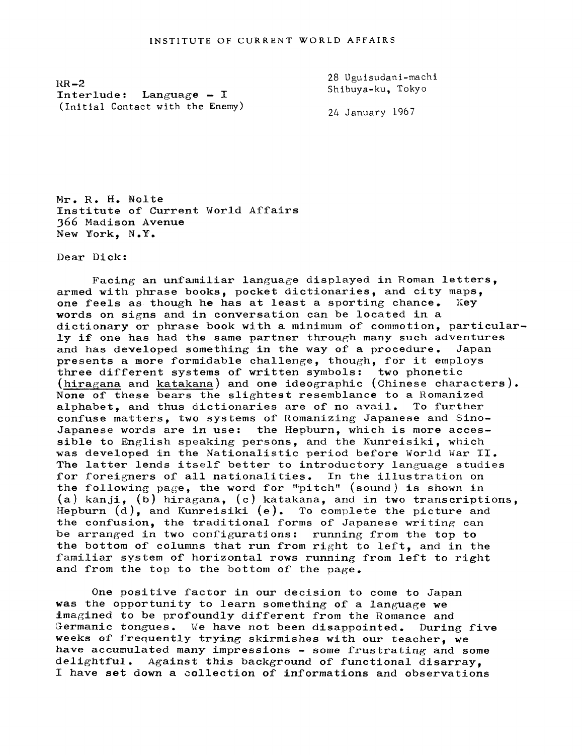$RR-2$ Interlude: Language  $- I$ (Initial Contact with the Enemy)

28 Ugulsudanl-machl Shlbuya-ku, Tokyo

24 January 1967

Mr. R. H.. Nolte Institute of Current World Affairs 366 Madison Avenue New Work, N.Y.

Dear Dick:

Facing an unfamiliar language displayed in Roman letters, armed with phrase books, pocket dictionaries, and city maps, one feels as though he has at least a sporting chance. Key one feels as though he has at least a sporting chance. words on signs and in conversation can be located in a dictionary or phrase book with a minimum of commotion, particularly if one has had the same partner through many such adventures and has developed something in the way of a procedure. Japan presents a more formidable challenge, though, for it employs three different systems of written symbols: two phonetic (hiragana and katakana) and one ideographic (Chinese characters). None of these bears the slightest resemblance to a Romanized alphabet, and thus dictionaries are of no avail. To further confuse matters, two systems of Romanizing Japanese and Sino-Japanese words are in use: the Hepburn, which is more accessible to English speaking persons, and the Kunreisiki, which was developed in the Nationalistic period before World War II. The latter lends itself better to introductory language studies for foreigners of all nationalities. In the illustration on the following page, the word for "pitch" (sound) is shown in (a) kanji, (b) hiragana, (c) katakana, and in two transcriptions, Hepburn  $(d)$ , and Kunreisiki  $(e)$ . To complete the picture and the confusion, the traditional forms of Japanese writing can be arranged in two configurations: running from the top to the bottom of columns that run from right to left, and in the familiar system of horizontal rows running from left to right and from the top to the bottom of the page.

One positive factor in our decision to come to Japan was the opportunity to learn something of a language we imagined to be profoundly different from the Romance and Germanic tongues. We have not been disappointed. During five weeks of frequently trying skirmishes with our teacher, we have accumulated many impressions - some frustrating and some delightful. Against this background of functional disarray, I have set down a collection of informations and observations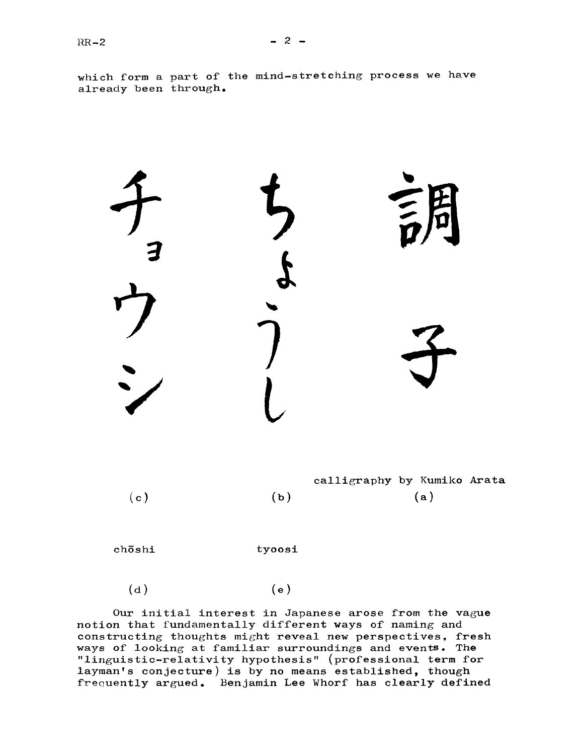

chōshi tyoosi

 $(d)$  (e)

Our initial interest in Japanese arose from the vague notion that fundamentally different ways of naming and constructing thoughts might reveal new perspectives, fresh ways of looking at familiar surroundings and events. The "linguistic-relativity hypothesis" (professional term for layman's conjecture) is by no means established, though frequently argued. Benjamin Lee Whorf has clearly defined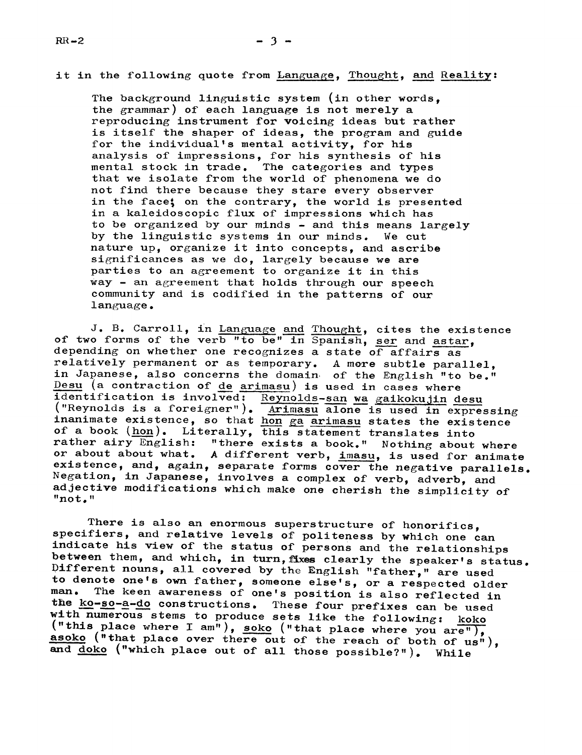## it in the following quote from Language, Thought, and Reality:

The background linguistic system (in other words, the grammar) of each language is not merely a reproducing instrument for voicing ideas but rather is itself the shaper of ideas, the program and guide for the individual's mental activity, for his analysis of impressions, for his synthesis of his mental stock in trade. The categories and types that we isolate from the world of phenomena we do not find there because they stare every observer in the face; on the contrary, the world is presented in a kaleidoscopic flux of impressions which has to be organized by our minds - and this means largely by the linguistic systems in our minds. We cut nature up, organize it into concepts, and ascribe significances as we do, largely because we are parties to an agreement to organize it in this Way'- an agreement that holds through our speech community and is codified in the patterns of our language.

J. B. Carroll, in Language and Thought, cites the existence of two forms of the verb "to be" in Spanish, ser and astar, depending on whether one recognizes a state of affairs as relatively permanent or as temporary. A more subtle parallel, in Japanese, also concerns the domain of the English "to be."  $Desu$  (a contraction of de arimasu) is used in cases where identification is involved: Reynolds-san wa gaikokujin desu ("Reynolds is a foreigner"). Arimasu alone is used in expressing inanimate existence, so that hon ga arimasu states the existence of a book  $(hon)$ . Literally, this statement translates into rather airy English: "there exists a book." Nothing about where or about about what. A different verb, imasu, is used for animate existence, and, again, separate forms cover the negative parallels. Negation, in Japanese, involves <sup>a</sup> complex of verb, adverb, and adjective modifications which make one cherish the simplicity of "no t."

There is also an enormous superstructure of honorifics, specifiers, and relative levels of politeness by which one can indicate his view of the status of persons and the relationships between them, and which, in turn, fixes clearly the speaker's status.<br>Different nouns, all covered by the English "father," are used<br>to denote one's own father, someone else's, or a respected older<br>man. The keen awareness the <u>ko-so-a-do</u> constructions. These four prefixes can be used with numerous stems to produce sets like the following: koko ("this place where I am"), soko ("that place where you are"), asoko ("this place where I am"), soko ("that place where you are"), asoko ("that place over there out of the reach of both of us"), and <u>doko</u> ("which place out of all those possible?"). While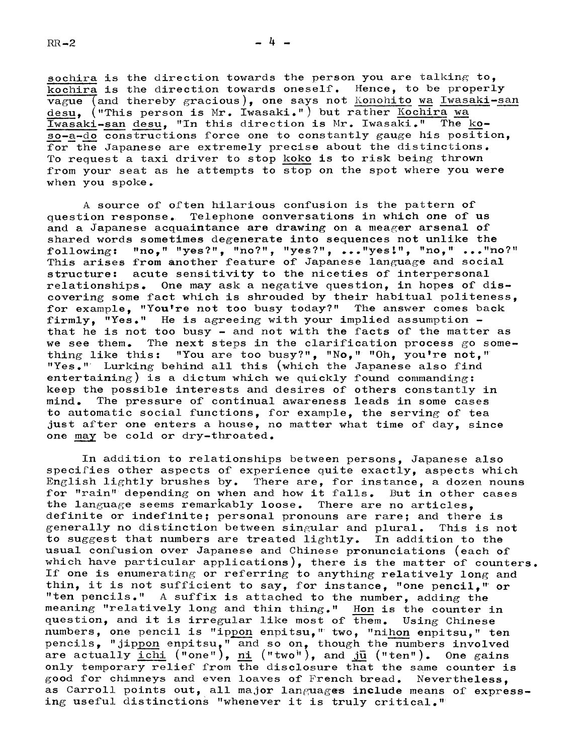sochira is the direction towards the person you are talking to, kochira is the direction towards oneself. Hence, to be properly  $\overline{vague}$  (and thereby gracious), one says not *Konohito* wa Iwasaki-san desu. ("This person is Mr. Iwasaki.") but rather Kochira wa Iwasaki-san desu, "In this direction is Mr. Iwasaki." The koso-a-do constructions force one to constantly gauge his position, for the Japanese are extremely precise about the distinctions. To request a taxi driver to stop koko is to risk being thrown from your seat as he attempts to stop on the spot where you were when you spoke

A source of often hilarious confusion is the pattern of question response. Telephone conversations in which one of us and a Japanese acquaintance are drawing on a meager arsenal of shared words sometimes degenerate into sequences not unlike the following: "no," "yes?", "no?", "yes?", ..."yes!", "no," ..."no?"<br>This arises from another feature of Japanese language and social structure: acute sensitivity to the niceties of interpersonal relationships. One may ask a negative question, in hopes of discovering some fact which is shrouded by their habitual politeness, for example, "You're not too busy today?" The answer comes back firmly, "Yes." He is agreeing with your implied assumption that he is not too busy - and not with the facts of the matter as we see them. The next steps in the clarification process go something like this: "You are too busy?", "No," "Oh, you're not," "Yes."' Lurking behind all this (which the Japanese also find entertaining) is a dictum which we quickly found commanding: keep the possible interests and desires of others constantly in mind. The pressure of continual awareness leads in some cases to automatic social functions, for example, the serving of tea just after one enters a house, no matter what time of day, since one may be cold or dry-throated.

In addition to relationships between persons, Japanese also specifies other aspects of experience quite exactly, aspects which English lightly brushes by. There are, for instance, a dozen nouns for "rain" depending on when and how it falls. But in other cases the language seems remarkably loose. There are no articles. definite or indefinite; personal pronouns are rare; and there is generally no distinction between singular and plural. This is not<br>to suggest that numbers are treated lightly. In addition to the to suggest that numbers are treated lightly. usual confusion over Japanese and Chinese pronunciations (each of which have particular applications), there is the matter of counters. If one is enumerating or referring to anything relatively long and thin, it is not sufficient to say, for instance, "one pencil." or "ten pencils." A suffix is attached to the number, adding the meaning "relatively long and thin thing." Hon is the counter in question, and it is irregular like most of them. Using Chinese numbers, one pencil is "ippon enpitsu, " two, "nihon enpitsu," ten pencils, "jippon enpitsu," and so on, though the numbers involved are actually  $\underline{\text{icht}}$  ("one"),  $\underline{\text{ni}}$  ("two"), and  $\underline{\text{ju}}$  ("ten"). One gains only temporary relief from the disclosure that the same counter is good for chimneys and even loaves of French bread. Nevertheless, as Carroll points out, all major languages include means of expressing useful distinctions "whenever it is truly critical. ''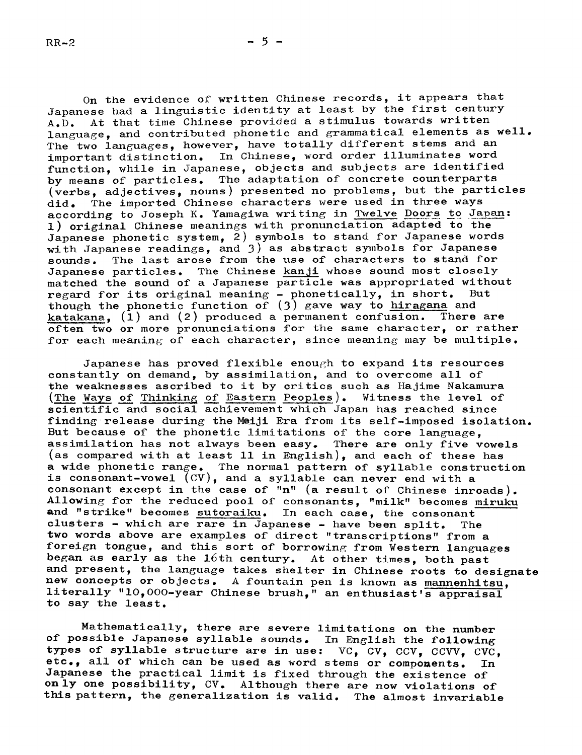On the evidence of written Chinese records, it appears that Japanese had <sup>a</sup> linguistic identity at least by the first century A.D. At that time Chinese provided a stimulus towards written language, and contributed phonetic and grammatical elements as well. The two languages, however, have totally different stems and an important distinction. In Chinese, word order illuminates word function, while in Japanese, objects and subjects are identified by means of particles. The adaptation of concrete counterparts (verbs, adjectives, nouns) presented no problems, but the particles did. The imported Chinese characters were used in three ways according to Joseph K. Yamagiwa writing in Twelve Doors to Japan: 1) original Chinese meanings with pronunciation adapted to the Japanese phonetic system, 2) symbols to stand for Japanese words with Japanese readings, and  $3)$  as abstract symbols for Japanese sounds. The last arose from the use of characters to stand for Japanese particles. The Chinese kanji whose sound most closely matched the sound of a Japanese particle was appropriated without regard for its original meaning - phonetically, in short. But regard for its original meaning - phonetically, in short. though the phonetic function of  $(3)$  gave way to hiragana and katakana,  $(1)$  and  $(2)$  produced a permanent confusion. There are often two or more pronunciations for the same character, or rather for each meaning of each character, since meaning may be multiple.

Japanese has proved flexible enough to expand its resources constantly on demand, by assimilation, and to overcome all of the weaknesses ascribed to it by critics such as Hajime Nakamura  $(\text{The ways of Thinking of Eastern Peoples})$ . Witness the level of scientific and social achievement which Japan has reached since finding release during the Meiji Era from its self-imposed isolation. But because of the phonetic limitations of the core language, assimilation has not always been easy. There are only five vowels (as compared with at least ll in English), and each of these has a wide phonetic range. The normal pattern of syllable construction is consonant-vowel (CV), and a syllable can never end with a consonant except in the case of "n" (a result of Chinese inroads). Allowing for the reduced pool of consonants, "milk" becomes miruku and "strike" becomes sutoraiku. In each case, the consonant clusters - which are  $r = \frac{1}{2}$  apanese - have been split. The two words above are examples of direct "transcriptions" from a foreign tongue, and this sort of borrowing from Western languages began as early as the 16th century. At other times, both past and present, the language takes shelter in Chinese roots to designate new concepts or objects. A fountain pen is known as mannenhltsu, literally "10,000-year Chinese brush," an enthusiast's appraisal to say the least.

Mathematically, there are severe limitations on the number of possible Japanese syllable sounds. In English the following types of syllable structure are in use:  $VC$ ,  $CV$ ,  $CCV$ ,  $CCVV$ ,  $CVC$ ,  $etc.,$  all of which can be used as word stems or components. In etc., all of which can be used as word stems or components. Japanese the practical limit is fixed through the existence of only one possibility, CV. Although there are now violations of this pattern, the generalization is valid. The almost invariable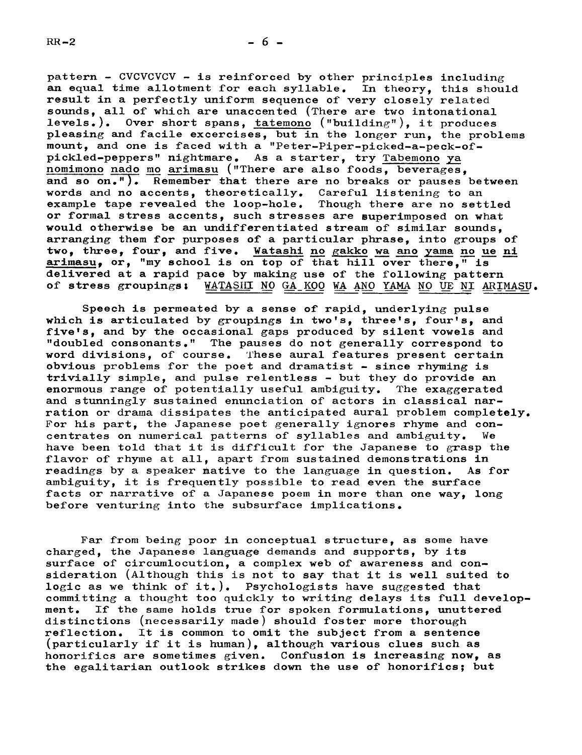$-6-$ 

pattern - CVCVCVCV - is reinforced by other principles including an equal time allotment for each syllable. In theory, this should result in a perfectly uniform sequence of very closely related sounds, all of which are unaccented (There are two intonational levels.). Over short spans, tatemono ("building"), it produces pleasing and facile excercises, but in the longer run, the problems mount, and one is faced with a "Peter-Piper-picked-a-peck-ofpickled-peppers" nightmare. As a starter, try Tabemono ya nomimono nado mo arimasu ("There are also foods, beverages, and so  $on.$ "). Remember that there are no breaks or pauses between words and no accents, theoretically. Careful listening to an example tape revealed the loop-hole. Though there are no settled or formal stress accents, such stresses are superimposed on what would otherwise be an undifferentiated stream of similar sounds, arranging them for purposes of a particular phrase, into groups of two, three, four, and five. Watashi no gakko wa ano yama no ue ni arimasu, or, "my school is on top of that hill over there," is delivered at a rapid pace by making use of the following pattern of stress groupings: WATASHI NO GA KOO WA ANO YAMA NO UE NI ARIN WATASHI NO GA KOO WA ANO YAMA NO UE NI ARIMASU.

Speech is permeated by a sense of rapid, underlying pulse which is articulated by groupings in two's, three's, four's, and five's, and by the occasional gaps produced by silent vowels and "doubled consonants." The pauses do not generally correspond to word divisions, of course. fhese aural features present certain obvious problems for the poet and dramatist  $-$  since rhyming is trivially simple, and pulse relentless - but they do provide an enormous range of potentially useful ambiguity. The exaggerated and stunningly sustained enunciation of actors in classical narration or drama dissipates the anticipated aural problem completely. For his part, the Japanese poet generally ignores rhyme and concentrates on numerical patterns of syllables and ambiguity. We have been told that it is difficult for the Japanese to grasp the flavor of rhyme at all, apart from sustained demonstrations in readings by a speaker mative to the language in question. As for ambiguity, it is frequently possible to read even the surface facts or narrative of a Japanese poem in more than one way, long before venturing into the subsurface implications.

Far from being poor in conceptual structure, as some have charged, the Japanese language demands and supports, by its surface of circumlocution, a complex web of awareness and consideration (Although this is not to say that it is well suited to logic as we think of it.). Psychologists have suggested that committing a thought too quickly to writing delays its full development. If the same holds true for spoken formulations, unuttered distinctions (necessarily made) should foster more thorough reflection. It is common to omit the subject from a sentence (particularly if it is human), although various clues such as honorifics are sometimes given. Confusion is increasing now, as the egalitarian outlook strikes down the use of honorifics; but